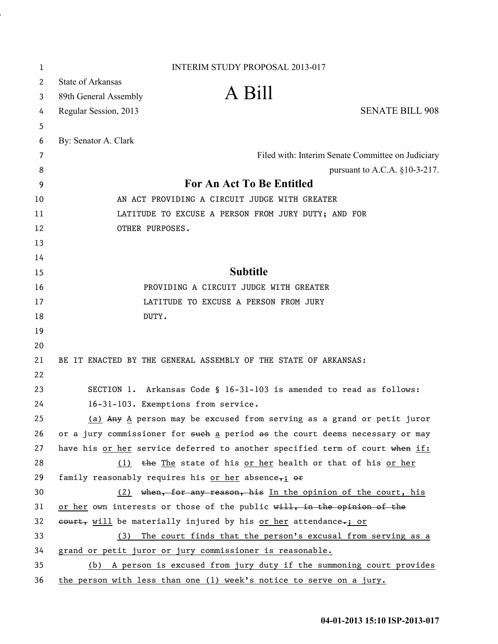| 1        | <b>INTERIM STUDY PROPOSAL 2013-017</b>                                                                                                       |  |  |  |
|----------|----------------------------------------------------------------------------------------------------------------------------------------------|--|--|--|
| 2        | <b>State of Arkansas</b>                                                                                                                     |  |  |  |
| 3        | A Bill<br>89th General Assembly                                                                                                              |  |  |  |
| 4        | <b>SENATE BILL 908</b><br>Regular Session, 2013                                                                                              |  |  |  |
| 5        |                                                                                                                                              |  |  |  |
| 6        | By: Senator A. Clark                                                                                                                         |  |  |  |
| 7        | Filed with: Interim Senate Committee on Judiciary                                                                                            |  |  |  |
| 8        | pursuant to A.C.A. $§10-3-217$ .                                                                                                             |  |  |  |
| 9        | For An Act To Be Entitled                                                                                                                    |  |  |  |
| 10       | AN ACT PROVIDING A CIRCUIT JUDGE WITH GREATER                                                                                                |  |  |  |
| 11       | LATITUDE TO EXCUSE A PERSON FROM JURY DUTY; AND FOR                                                                                          |  |  |  |
| 12       | OTHER PURPOSES.                                                                                                                              |  |  |  |
| 13       |                                                                                                                                              |  |  |  |
| 14       |                                                                                                                                              |  |  |  |
| 15       | <b>Subtitle</b>                                                                                                                              |  |  |  |
| 16       | PROVIDING A CIRCUIT JUDGE WITH GREATER                                                                                                       |  |  |  |
| 17       | LATITUDE TO EXCUSE A PERSON FROM JURY                                                                                                        |  |  |  |
| 18       | DUTY.                                                                                                                                        |  |  |  |
| 19       |                                                                                                                                              |  |  |  |
| 20       |                                                                                                                                              |  |  |  |
| 21       | BE IT ENACTED BY THE GENERAL ASSEMBLY OF THE STATE OF ARKANSAS:                                                                              |  |  |  |
| 22       |                                                                                                                                              |  |  |  |
| 23       | SECTION 1. Arkansas Code § 16-31-103 is amended to read as follows:                                                                          |  |  |  |
| 24       | 16-31-103. Exemptions from service.                                                                                                          |  |  |  |
| 25       | $(a)$ Any A person may be excused from serving as a grand or petit juror                                                                     |  |  |  |
| 26       | or a jury commissioner for such a period as the court deems necessary or may                                                                 |  |  |  |
| 27<br>28 | have his or her service deferred to another specified term of court when if:<br>(1) the The state of his or her health or that of his or her |  |  |  |
| 29       |                                                                                                                                              |  |  |  |
| 30       | family reasonably requires his <u>or her</u> absence <sub>ri</sub> or<br>(2) when, for any reason, his In the opinion of the court, his      |  |  |  |
| 31       | or her own interests or those of the public will, in the opinion of the                                                                      |  |  |  |
| 32       | eourt, will be materially injured by his or her attendance-; or                                                                              |  |  |  |
| 33       | (3) The court finds that the person's excusal from serving as a                                                                              |  |  |  |
| 34       | grand or petit juror or jury commissioner is reasonable.                                                                                     |  |  |  |
| 35       | (b) A person is excused from jury duty if the summoning court provides                                                                       |  |  |  |
| 36       | the person with less than one (1) week's notice to serve on a jury.                                                                          |  |  |  |

i,